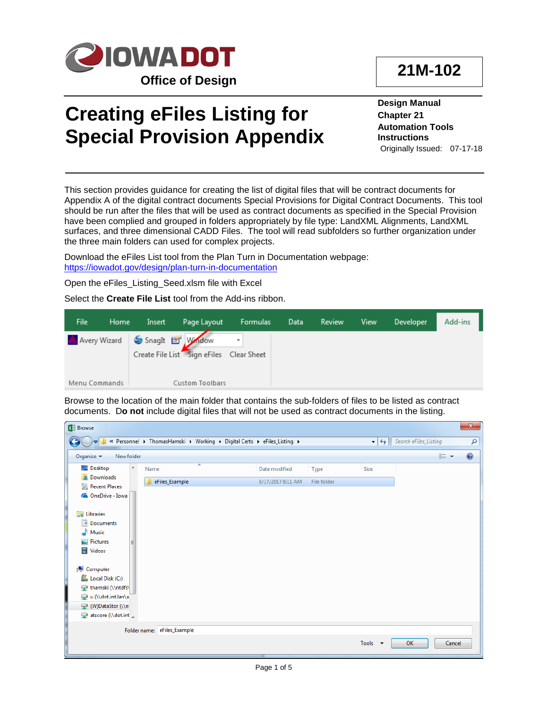

## **Creating eFiles Listing for Special Provision Appendix**

**Design Manual Chapter 21 Automation Tools Instructions** Originally Issued: 07-17-18

This section provides guidance for creating the list of digital files that will be contract documents for Appendix A of the digital contract documents Special Provisions for Digital Contract Documents. This tool should be run after the files that will be used as contract documents as specified in the Special Provision have been complied and grouped in folders appropriately by file type: LandXML Alignments, LandXML surfaces, and three dimensional CADD Files. The tool will read subfolders so further organization under the three main folders can used for complex projects.

Download the eFiles List tool from the Plan Turn in Documentation webpage: <https://iowadot.gov/design/plan-turn-in-documentation>

Open the eFiles\_Listing\_Seed.xlsm file with Excel

Select the **Create File List** tool from the Add-ins ribbon.

| File.         | Home | Insert | Page Layout                                                  | Formulas | Data | Review | View | Developer | Add-ins |
|---------------|------|--------|--------------------------------------------------------------|----------|------|--------|------|-----------|---------|
| Avery Wizard  |      |        | SnagIt Et Window<br>Create File List Sign eFiles Clear Sheet |          |      |        |      |           |         |
| Menu Commands |      |        | Custom Toolbars                                              |          |      |        |      |           |         |

Browse to the location of the main folder that contains the sub-folders of files to be listed as contract documents. D**o not** include digital files that will not be used as contract documents in the listing.

| <b>X</b> Browse                                                        |                          |                             |                                                                         |                   |             |                                |                       | $\mathbf{x}$ |
|------------------------------------------------------------------------|--------------------------|-----------------------------|-------------------------------------------------------------------------|-------------------|-------------|--------------------------------|-----------------------|--------------|
|                                                                        |                          |                             | « Personnel > ThomasHamski > Working > Digital Certs > eFiles_Listing > |                   |             | $\mathbf{v}$<br>$\overline{+}$ | Search eFiles_Listing | م            |
| New folder<br>Organize $\blacktriangledown$                            |                          |                             |                                                                         |                   |             |                                | ⊪ →                   | $\odot$      |
| Desktop                                                                | $\blacktriangle$<br>Name | ×                           |                                                                         | Date modified     | Type        | Size                           |                       |              |
| <b>Downloads</b><br><b>E</b> Recent Places                             |                          | eFiles_Example              |                                                                         | 8/17/2017 8:11 AM | File folder |                                |                       |              |
| CheDrive - Iowa                                                        |                          |                             |                                                                         |                   |             |                                |                       |              |
| Libraries<br>r.<br>B<br>Documents<br>Music<br>Pictures<br>Ħ<br>Videos  |                          |                             |                                                                         |                   |             |                                |                       |              |
| Computer<br>Local Disk (C:)<br>thamski (\\ntdfs\<br>u (\\dot.int.lan\a |                          |                             |                                                                         |                   |             |                                |                       |              |
| (W)DataStor (\\n<br>atscore (\\dot.int _                               |                          |                             |                                                                         |                   |             |                                |                       |              |
|                                                                        |                          | Folder name: eFiles_Example |                                                                         |                   |             | Tools $\star$                  | OK                    | Cancel       |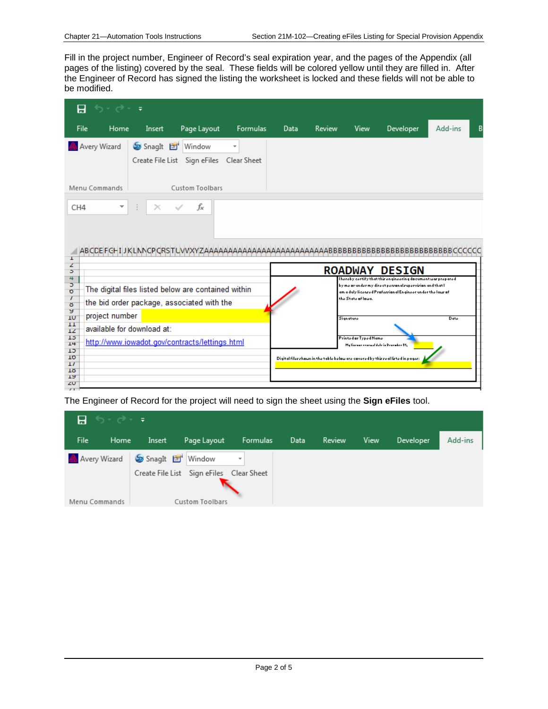Fill in the project number, Engineer of Record's seal expiration year, and the pages of the Appendix (all pages of the listing) covered by the seal. These fields will be colored yellow until they are filled in. After the Engineer of Record has signed the listing the worksheet is locked and these fields will not be able to be modified.

|                                                     | $6 - 9 -$                                                                                              |                                  |                                                    |                 |                                                                                                                                                    |        |                     |                                                                                                                                                                                       |         |  |
|-----------------------------------------------------|--------------------------------------------------------------------------------------------------------|----------------------------------|----------------------------------------------------|-----------------|----------------------------------------------------------------------------------------------------------------------------------------------------|--------|---------------------|---------------------------------------------------------------------------------------------------------------------------------------------------------------------------------------|---------|--|
| File                                                | Home                                                                                                   | Insert                           | Page Layout                                        | <b>Formulas</b> | Data                                                                                                                                               | Review | View                | Developer                                                                                                                                                                             | Add-ins |  |
|                                                     | Avery Wizard                                                                                           | SnagIt E                         | Window<br>Create File List Sign eFiles Clear Sheet |                 |                                                                                                                                                    |        |                     |                                                                                                                                                                                       |         |  |
|                                                     | Menu Commands                                                                                          |                                  | Custom Toolbars                                    |                 |                                                                                                                                                    |        |                     |                                                                                                                                                                                       |         |  |
| CH <sub>4</sub><br>T                                | ▼                                                                                                      | $\times$<br>ABCDEFGHIJKLNNCPCRSI | fx                                                 |                 |                                                                                                                                                    |        |                     | AAAAABBBBBBBBBBBBBBBBBBBBBBBBBBCCCCC                                                                                                                                                  |         |  |
| z<br>ъ                                              |                                                                                                        |                                  |                                                    |                 |                                                                                                                                                    |        | <b>ROADWAY</b>      | <b>DESIGN</b>                                                                                                                                                                         |         |  |
| Ь<br>ö<br>7<br>8<br>У                               | 4<br>The digital files listed below are contained within<br>the bid order package, associated with the |                                  |                                                    |                 |                                                                                                                                                    |        | the State of louis. | l haraby cartify that thir anginaaring ducumant war praparad<br>by me ar under my direct persanal supervision and that I<br>am a duly licenzed Prafezzianal Engineer under the law af |         |  |
| 1U<br>11                                            | project number                                                                                         |                                  |                                                    |                 |                                                                                                                                                    |        | <b>Signature</b>    |                                                                                                                                                                                       | Date    |  |
| 12<br>13<br>14<br>15<br>10                          | available for download at:<br>http://www.iowadot.gov/contracts/lettings.html                           |                                  |                                                    |                 | Printed or Typed Name<br>Hy lineaux centual dale in Denember 31,<br>Digital filershown in the table below are covered by thirseal listed in pages: |        |                     |                                                                                                                                                                                       |         |  |
| $\overline{11}$<br>18<br>19<br>ZU<br>$\overline{1}$ |                                                                                                        |                                  |                                                    |                 |                                                                                                                                                    |        |                     |                                                                                                                                                                                       |         |  |

The Engineer of Record for the project will need to sign the sheet using the **Sign eFiles** tool.

| <b>ਜ਼ਿ</b> ੧੶ <i>ਵ</i> ∙ ∓ਾਂ |      |                 |                                          |                          |      |        |      |                  |         |
|------------------------------|------|-----------------|------------------------------------------|--------------------------|------|--------|------|------------------|---------|
| <b>File</b>                  | Home | Insert          | Page Layout                              | <b>Formulas</b>          | Data | Review | View | <b>Developer</b> | Add-ins |
| Avery Wizard                 |      | SnagIt F Window |                                          | $\overline{\phantom{a}}$ |      |        |      |                  |         |
|                              |      |                 | Create File List Sign eFiles Clear Sheet |                          |      |        |      |                  |         |
|                              |      |                 |                                          |                          |      |        |      |                  |         |
| Menu Commands                |      |                 | Custom Toolbars                          |                          |      |        |      |                  |         |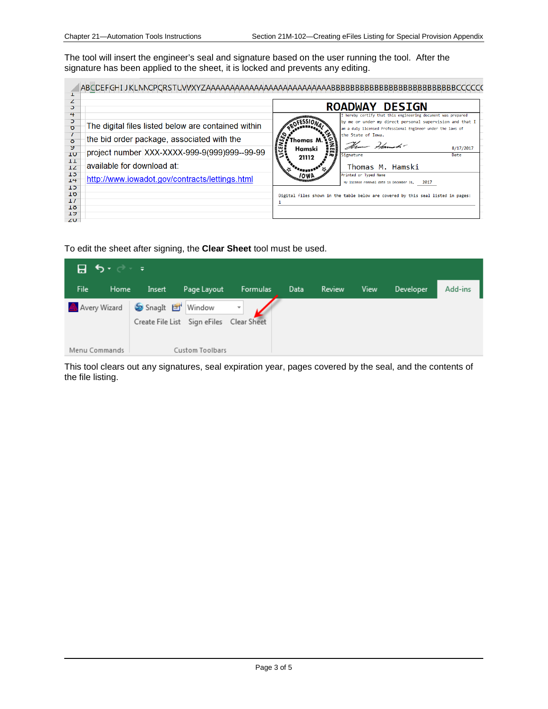The tool will insert the engineer's seal and signature based on the user running the tool. After the signature has been applied to the sheet, it is locked and prevents any editing.

| э               |                                                     |                   | <b>ROADWAY DESIGN</b>                                                                                                                                                                  |
|-----------------|-----------------------------------------------------|-------------------|----------------------------------------------------------------------------------------------------------------------------------------------------------------------------------------|
| 4<br>$\sigma$   | The digital files listed below are contained within |                   | I hereby certify that this engineering document was prepared<br>by me or under my direct personal supervision and that I<br>am a duly licensed Professional Engineer under the laws of |
| ŏ<br>У          | the bid order package, associated with the          | homas M<br>Hamski | the State of Iowa.<br>Them Hamsh-<br>8/17/2017                                                                                                                                         |
| <b>TO</b><br>TT | project number XXX-XXXX-999-9(999)999--99-99        | 21112             | Signature<br>Date                                                                                                                                                                      |
| 12              | available for download at:                          |                   | Thomas M. Hamski                                                                                                                                                                       |
| ŦЭ<br>14        | http://www.iowadot.gov/contracts/lettings.html      |                   | Printed or Typed Name<br>My license renewal date is December 31, 2017                                                                                                                  |
| ШD<br>10        |                                                     |                   | Digital files shown in the table below are covered by this seal listed in pages:                                                                                                       |
| $\perp I$<br>ΙÖ |                                                     |                   |                                                                                                                                                                                        |
| エン<br>ZU.       |                                                     |                   |                                                                                                                                                                                        |

To edit the sheet after signing, the **Clear Sheet** tool must be used.

| । ⊟ । <b>੭</b> • ∂ ∗ ≠' |      |                 |                              |                                         |      |        |      |           |         |
|-------------------------|------|-----------------|------------------------------|-----------------------------------------|------|--------|------|-----------|---------|
| File                    | Home | Insert          | Page Layout                  | Formulas                                | Data | Review | View | Developer | Add-ins |
| Avery Wizard            |      | SnagIt F Window | Create File List Sign eFiles | $\overline{\phantom{a}}$<br>Clear Sheet |      |        |      |           |         |
| Menu Commands           |      |                 | Custom Toolbars              |                                         |      |        |      |           |         |

This tool clears out any signatures, seal expiration year, pages covered by the seal, and the contents of the file listing.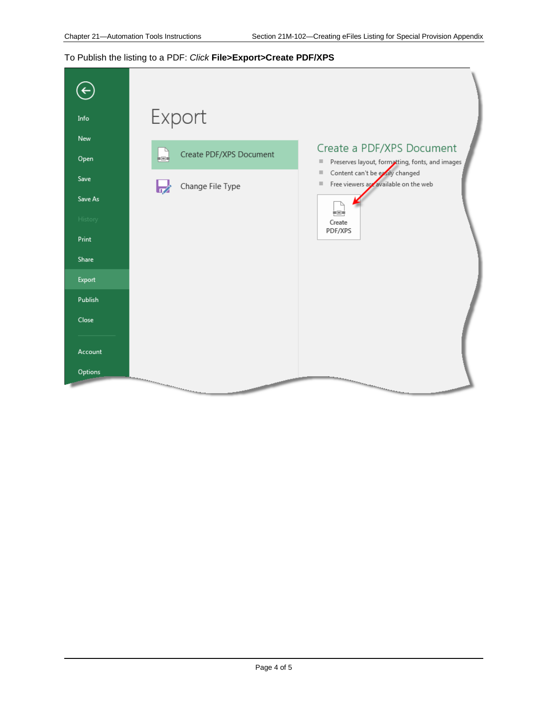## To Publish the listing to a PDF: *Click* **File>Export>Create PDF/XPS**

| $(\textcolor{red}{\leftarrow})$<br>Info<br>New<br>Open<br>Save<br>Save As<br>History<br>Print<br>Share<br>Export | Export<br>L<br>Create PDF/XPS Document<br>Change File Type<br>62 | Create a PDF/XPS Document<br>Preserves layout, formatting, fonts, and images<br>$\equiv$<br>Content can't be exily changed<br>$\begin{array}{c} \hline \end{array}$<br>Free viewers are available on the web<br>$\mathbb{H}$<br>i EL<br>Create<br>PDF/XPS |
|------------------------------------------------------------------------------------------------------------------|------------------------------------------------------------------|-----------------------------------------------------------------------------------------------------------------------------------------------------------------------------------------------------------------------------------------------------------|
| Publish                                                                                                          |                                                                  |                                                                                                                                                                                                                                                           |
| Close                                                                                                            |                                                                  |                                                                                                                                                                                                                                                           |
| Account<br>Options                                                                                               |                                                                  |                                                                                                                                                                                                                                                           |
|                                                                                                                  |                                                                  | <b>Construction Construction of the Construction Construction of the Construction Construction Construction Const</b>                                                                                                                                     |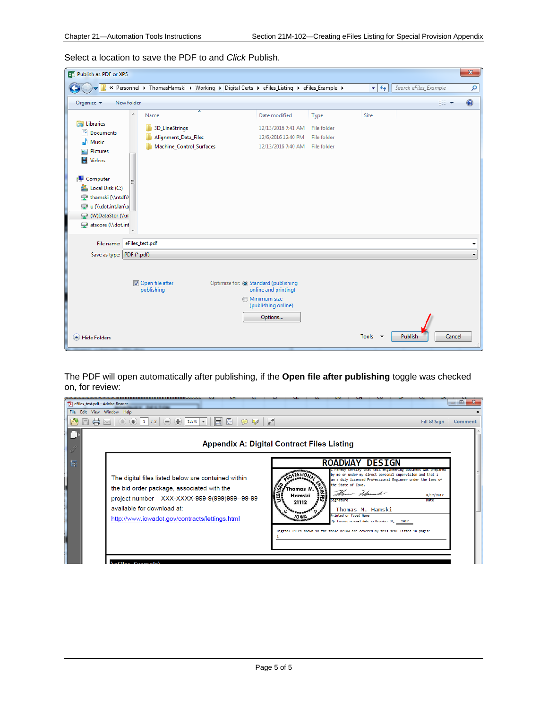Select a location to save the PDF to and *Click* Publish.

| $\mathbf{x}$<br>X Publish as PDF or XPS                                                                                                                                                  |                                                                                          |                                                                                                                       |                                                   |                                   |                       |                  |  |
|------------------------------------------------------------------------------------------------------------------------------------------------------------------------------------------|------------------------------------------------------------------------------------------|-----------------------------------------------------------------------------------------------------------------------|---------------------------------------------------|-----------------------------------|-----------------------|------------------|--|
|                                                                                                                                                                                          | « Personnel ▶ ThomasHamski ▶ Working ▶ Digital Certs ▶ eFiles_Listing ▶ eFiles_Example ▶ |                                                                                                                       |                                                   | $+$<br>$\mathbf{v}$               | Search eFiles_Example | م                |  |
| New folder<br>Organize v                                                                                                                                                                 |                                                                                          |                                                                                                                       |                                                   |                                   | ● 第一                  | $\odot$          |  |
| ۸<br><b>Exp</b> Libraries<br>E<br><b>Documents</b><br>Music<br>Pictures<br>ఆ<br>H<br>Videos<br>Computer<br>Local Disk (C:)<br>thamski (\\ntdfs\<br>u (\\dot.int.lan\a<br>W)DataStor (\\n | ×<br>Name<br>3D_LineStrings<br>Alignment_Data_Files<br>Machine_Control_Surfaces          | Date modified<br>12/13/2016 7:41 AM<br>12/6/2016 12:40 PM<br>12/13/2016 7:40 AM                                       | Type<br>File folder<br>File folder<br>File folder | Size                              |                       |                  |  |
| atscore (\\dot.int<br>File name: eFiles_test.pdf<br>Save as type: PDF (*.pdf)<br>Hide Folders                                                                                            | Open file after<br>publishing                                                            | Optimize for: @ Standard (publishing<br>online and printing)<br><b>Minimum size</b><br>(publishing online)<br>Options |                                                   | Tools<br>$\overline{\phantom{a}}$ | Publish               | -<br>٠<br>Cancel |  |

The PDF will open automatically after publishing, if the **Open file after publishing** toggle was checked on, for review:

| eFiles_test.pdf - Adobe Reader |                                                                                                                                                                                                                                   |                                                                                                                                                                                                                                                                                                                                                                                                                                                                                   | $\Box$ e               |
|--------------------------------|-----------------------------------------------------------------------------------------------------------------------------------------------------------------------------------------------------------------------------------|-----------------------------------------------------------------------------------------------------------------------------------------------------------------------------------------------------------------------------------------------------------------------------------------------------------------------------------------------------------------------------------------------------------------------------------------------------------------------------------|------------------------|
| File Edit View Window Help     | Œ<br>$\frac{T}{\sqrt{3}}$<br>127%<br>Ю<br>la l<br>$\left( =\right)$                                                                                                                                                               | <b>A</b>                                                                                                                                                                                                                                                                                                                                                                                                                                                                          | Fill & Sign<br>Comment |
|                                |                                                                                                                                                                                                                                   | <b>Appendix A: Digital Contract Files Listing</b>                                                                                                                                                                                                                                                                                                                                                                                                                                 |                        |
| 巨                              | The digital files listed below are contained within<br>the bid order package, associated with the<br>project number XXX-XXXX-999-9(999)999--99-99<br>available for download at:<br>http://www.iowadot.gov/contracts/lettings.html | <b>DESIGN</b><br><b>ROADWAY</b><br>certify that this engineering document was prepared<br>by me or under my direct personal supervision and that I<br>am a duly licensed Professional Engineer under the laws of<br>the State of Iowa.<br>'homas N<br>Ham Hamsh-<br>Hamski<br>Signature<br>21112<br>Thomas M. Hamski<br>Printed or Typed Name<br>My license renewal date is December 31, 2017<br>Digital files shown in the table below are covered by this seal listed in pages: | 8/17/2017<br>Date      |